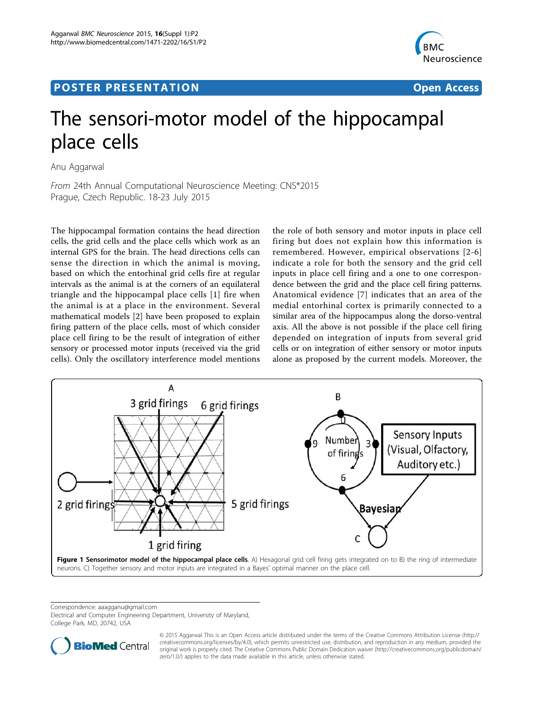## <span id="page-0-0"></span>Post Experimental Police in the St English Police in the St English Police in the St English Police in the St<br>Police in the St English Police in the St English Police in the St English Police in the St English Police in



# The sensori-motor model of the hippocampal place cells

Anu Aggarwal

From 24th Annual Computational Neuroscience Meeting: CNS\*2015 Prague, Czech Republic. 18-23 July 2015

The hippocampal formation contains the head direction cells, the grid cells and the place cells which work as an internal GPS for the brain. The head directions cells can sense the direction in which the animal is moving, based on which the entorhinal grid cells fire at regular intervals as the animal is at the corners of an equilateral triangle and the hippocampal place cells [[1](#page-1-0)] fire when the animal is at a place in the environment. Several mathematical models [[2\]](#page-1-0) have been proposed to explain firing pattern of the place cells, most of which consider place cell firing to be the result of integration of either sensory or processed motor inputs (received via the grid cells). Only the oscillatory interference model mentions

the role of both sensory and motor inputs in place cell firing but does not explain how this information is remembered. However, empirical observations [[2](#page-1-0)-[6](#page-1-0)] indicate a role for both the sensory and the grid cell inputs in place cell firing and a one to one correspondence between the grid and the place cell firing patterns. Anatomical evidence [[7\]](#page-1-0) indicates that an area of the medial entorhinal cortex is primarily connected to a similar area of the hippocampus along the dorso-ventral axis. All the above is not possible if the place cell firing depended on integration of inputs from several grid cells or on integration of either sensory or motor inputs alone as proposed by the current models. Moreover, the



Correspondence: [aaagganu@gmail.com](mailto:aaagganu@gmail.com)

Electrical and Computer Engineering Department, University of Maryland, College Park, MD, 20742, USA



© 2015 Aggarwal This is an Open Access article distributed under the terms of the Creative Commons Attribution License ([http://](http://creativecommons.org/licenses/by/4.0) [creativecommons.org/licenses/by/4.0](http://creativecommons.org/licenses/by/4.0)), which permits unrestricted use, distribution, and reproduction in any medium, provided the original work is properly cited. The Creative Commons Public Domain Dedication waiver ([http://creativecommons.org/publicdomain/](http://creativecommons.org/publicdomain/zero/1.0/) [zero/1.0/](http://creativecommons.org/publicdomain/zero/1.0/)) applies to the data made available in this article, unless otherwise stated.